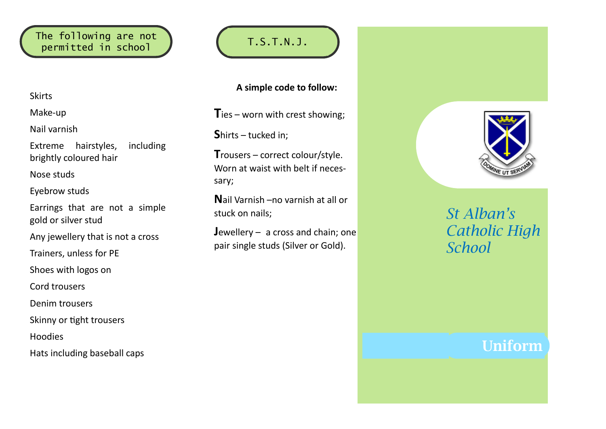### The following are not ne following are not<br>permitted in school  $\bigcup$  (T.S.T.N.J.

#### Skirts

Make-up

Nail varnish

Extreme hairstyles, including brightly coloured hair

Nose studs

Eyebrow studs

Earrings that are not a simple gold or silver stud

Any jewellery that is not a cross

Trainers, unless for PE

Shoes with logos on

Cord trousers

Denim trousers

Skinny or tight trousers

Hoodies

Hats including baseball caps

**A simple code to follow:**

**T**ies – worn with crest showing;

**S**hirts – tucked in;

**T**rousers – correct colour/style. Worn at waist with belt if necessary;

**N**ail Varnish –no varnish at all or stuck on nails;

**J**ewellery – a cross and chain; one pair single studs (Silver or Gold).



# *St Alban's Catholic High School*

# Uniform